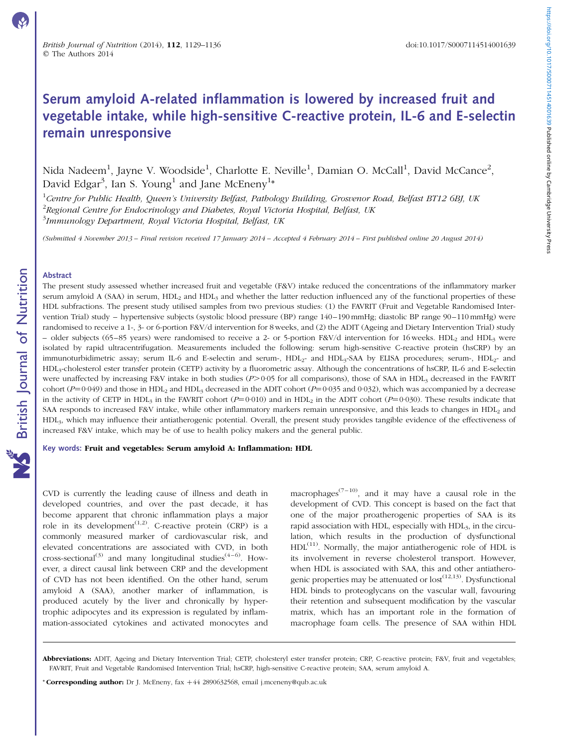# Serum amyloid A-related inflammation is lowered by increased fruit and vegetable intake, while high-sensitive C-reactive protein, IL-6 and E-selectin remain unresponsive

Nida Nadeem<sup>1</sup>, Jayne V. Woodside<sup>1</sup>, Charlotte E. Neville<sup>1</sup>, Damian O. McCall<sup>1</sup>, David McCance<sup>2</sup>, David Edgar<sup>3</sup>, Ian S. Young<sup>1</sup> and Jane McEneny<sup>1</sup>\*

<sup>1</sup>Centre for Public Health, Queen's University Belfast, Pathology Building, Grosvenor Road, Belfast BT12 6BJ, UK  $^{2}$ Regional Centre for Endocrinology and Diabetes, Royal Victoria Hospital, Belfast, UK <sup>3</sup>Immunology Department, Royal Victoria Hospital, Belfast, UK

(Submitted 4 November 2013 – Final revision received 17 January 2014 – Accepted 4 February 2014 – First published online 20 August 2014)

#### Abstract

The present study assessed whether increased fruit and vegetable (F&V) intake reduced the concentrations of the inflammatory marker serum amyloid A (SAA) in serum,  $HDL<sub>2</sub>$  and  $HDL<sub>3</sub>$  and whether the latter reduction influenced any of the functional properties of these HDL subfractions. The present study utilised samples from two previous studies: (1) the FAVRIT (Fruit and Vegetable Randomised Intervention Trial) study – hypertensive subjects (systolic blood pressure (BP) range 140–190 mmHg; diastolic BP range 90–110 mmHg) were randomised to receive a 1-, 3- or 6-portion F&V/d intervention for 8 weeks, and (2) the ADIT (Ageing and Dietary Intervention Trial) study – older subjects (65–85 years) were randomised to receive a 2- or 5-portion F&V/d intervention for 16 weeks. HDL<sub>2</sub> and HDL<sub>3</sub> were isolated by rapid ultracentrifugation. Measurements included the following: serum high-sensitive C-reactive protein (hsCRP) by an immunoturbidimetric assay; serum IL-6 and E-selectin and serum-, HDL<sub>2</sub>- and HDL<sub>3</sub>-SAA by ELISA procedures; serum-, HDL<sub>2</sub>- and HDL3-cholesterol ester transfer protein (CETP) activity by a fluorometric assay. Although the concentrations of hsCRP, IL-6 and E-selectin were unaffected by increasing F&V intake in both studies  $(P>0.05$  for all comparisons), those of SAA in HDL<sub>3</sub> decreased in the FAVRIT cohort ( $P=0.049$ ) and those in HDL<sub>2</sub> and HDL<sub>3</sub> decreased in the ADIT cohort ( $P=0.035$  and 0.032), which was accompanied by a decrease in the activity of CETP in HDL<sub>3</sub> in the FAVRIT cohort ( $P=0.010$ ) and in HDL<sub>2</sub> in the ADIT cohort ( $P=0.030$ ). These results indicate that SAA responds to increased F&V intake, while other inflammatory markers remain unresponsive, and this leads to changes in HDL2 and HDL3, which may influence their antiatherogenic potential. Overall, the present study provides tangible evidence of the effectiveness of increased F&V intake, which may be of use to health policy makers and the general public.

#### Key words: Fruit and vegetables: Serum amyloid A: Inflammation: HDL

CVD is currently the leading cause of illness and death in developed countries, and over the past decade, it has become apparent that chronic inflammation plays a major role in its development<sup> $(1,2)$ </sup>. C-reactive protein  $(CRP)$  is a commonly measured marker of cardiovascular risk, and elevated concentrations are associated with CVD, in both cross-sectional<sup>(3)</sup> and many longitudinal studies<sup>(4–6)</sup>. However, a direct causal link between CRP and the development of CVD has not been identified. On the other hand, serum amyloid A (SAA), another marker of inflammation, is produced acutely by the liver and chronically by hypertrophic adipocytes and its expression is regulated by inflammation-associated cytokines and activated monocytes and

macrophages<sup>(7-10)</sup>, and it may have a causal role in the development of CVD. This concept is based on the fact that one of the major proatherogenic properties of SAA is its rapid association with HDL, especially with HDL<sub>3</sub>, in the circulation, which results in the production of dysfunctional  $HDL<sup>(11)</sup>$ . Normally, the major antiatherogenic role of HDL is its involvement in reverse cholesterol transport. However, when HDL is associated with SAA, this and other antiatherogenic properties may be attenuated or  $\text{lost}^{(12,13)}$ . Dysfunctional HDL binds to proteoglycans on the vascular wall, favouring their retention and subsequent modification by the vascular matrix, which has an important role in the formation of macrophage foam cells. The presence of SAA within HDL

\* Corresponding author: Dr J. McEneny,  $\text{fix} +44$  2890632568, email j.mceneny@qub.ac.uk

Abbreviations: ADIT, Ageing and Dietary Intervention Trial; CETP, cholesteryl ester transfer protein; CRP, C-reactive protein; F&V, fruit and vegetables; FAVRIT, Fruit and Vegetable Randomised Intervention Trial; hsCRP, high-sensitive C-reactive protein; SAA, serum amyloid A.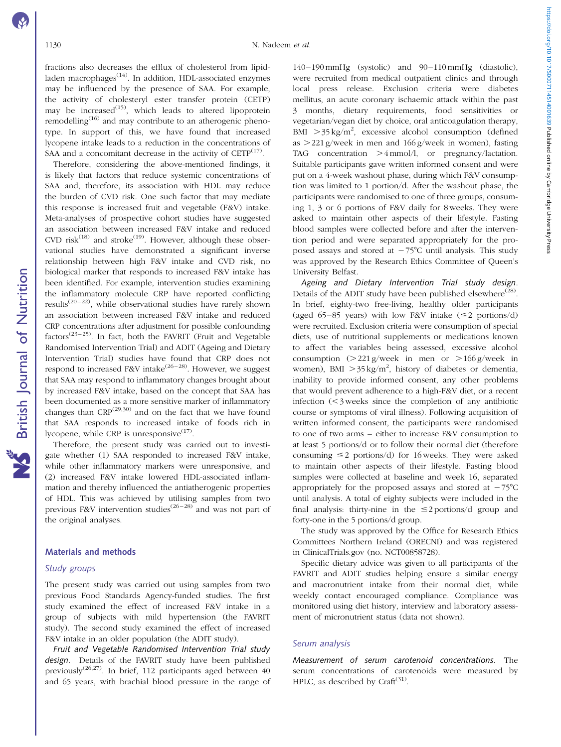fractions also decreases the efflux of cholesterol from lipidladen macrophages $<sup>(14)</sup>$ . In addition, HDL-associated enzymes</sup> may be influenced by the presence of SAA. For example, the activity of cholesteryl ester transfer protein (CETP) may be increased<sup> $(15)$ </sup>, which leads to altered lipoprotein remodelling $(16)$  and may contribute to an atherogenic phenotype. In support of this, we have found that increased lycopene intake leads to a reduction in the concentrations of SAA and a concomitant decrease in the activity of  $CETP^{(17)}$ .

Therefore, considering the above-mentioned findings, it is likely that factors that reduce systemic concentrations of SAA and, therefore, its association with HDL may reduce the burden of CVD risk. One such factor that may mediate this response is increased fruit and vegetable (F&V) intake. Meta-analyses of prospective cohort studies have suggested an association between increased F&V intake and reduced CVD risk<sup>(18)</sup> and stroke<sup>(19)</sup>. However, although these observational studies have demonstrated a significant inverse relationship between high F&V intake and CVD risk, no biological marker that responds to increased F&V intake has been identified. For example, intervention studies examining the inflammatory molecule CRP have reported conflicting results<sup> $(20-22)$ </sup>, while observational studies have rarely shown an association between increased F&V intake and reduced CRP concentrations after adjustment for possible confounding factors<sup>(23–25)</sup>. In fact, both the FAVRIT (Fruit and Vegetable Randomised Intervention Trial) and ADIT (Ageing and Dietary Intervention Trial) studies have found that CRP does not respond to increased F&V intake $(26-28)$ . However, we suggest that SAA may respond to inflammatory changes brought about by increased F&V intake, based on the concept that SAA has been documented as a more sensitive marker of inflammatory changes than  $CRP^{(29,30)}$  and on the fact that we have found that SAA responds to increased intake of foods rich in lycopene, while CRP is unresponsive $(17)$ .

Therefore, the present study was carried out to investigate whether (1) SAA responded to increased F&V intake, while other inflammatory markers were unresponsive, and (2) increased F&V intake lowered HDL-associated inflammation and thereby influenced the antiatherogenic properties of HDL. This was achieved by utilising samples from two previous F&V intervention studies<sup>(26–28)</sup> and was not part of the original analyses.

#### Materials and methods

# Study groups

The present study was carried out using samples from two previous Food Standards Agency-funded studies. The first study examined the effect of increased F&V intake in a group of subjects with mild hypertension (the FAVRIT study). The second study examined the effect of increased F&V intake in an older population (the ADIT study).

Fruit and Vegetable Randomised Intervention Trial study design. Details of the FAVRIT study have been published previously(26,27). In brief, 112 participants aged between 40 and 65 years, with brachial blood pressure in the range of

140–190 mmHg (systolic) and 90–110 mmHg (diastolic), were recruited from medical outpatient clinics and through local press release. Exclusion criteria were diabetes mellitus, an acute coronary ischaemic attack within the past 3 months, dietary requirements, food sensitivities or vegetarian/vegan diet by choice, oral anticoagulation therapy, BMI  $>$ 35 kg/m<sup>2</sup>, excessive alcohol consumption (defined as  $>$  221 g/week in men and 166 g/week in women), fasting TAG concentration  $>4$  mmol/l, or pregnancy/lactation. Suitable participants gave written informed consent and were put on a 4-week washout phase, during which F&V consumption was limited to 1 portion/d. After the washout phase, the participants were randomised to one of three groups, consuming 1, 3 or 6 portions of F&V daily for 8 weeks. They were asked to maintain other aspects of their lifestyle. Fasting blood samples were collected before and after the intervention period and were separated appropriately for the proposed assays and stored at  $-75^{\circ}$ C until analysis. This study was approved by the Research Ethics Committee of Queen's University Belfast.

Ageing and Dietary Intervention Trial study design. Details of the ADIT study have been published elsewhere<sup>(28)</sup>. In brief, eighty-two free-living, healthy older participants (aged 65–85 years) with low F&V intake  $(\leq 2$  portions/d) were recruited. Exclusion criteria were consumption of special diets, use of nutritional supplements or medications known to affect the variables being assessed, excessive alcohol consumption  $(>221 \text{ g/week}$  in men or  $>166 \text{ g/week}$  in women), BMI  $>35 \text{ kg/m}^2$ , history of diabetes or dementia, inability to provide informed consent, any other problems that would prevent adherence to a high-F&V diet, or a recent infection  $(<$ 3 weeks since the completion of any antibiotic course or symptoms of viral illness). Following acquisition of written informed consent, the participants were randomised to one of two arms – either to increase F&V consumption to at least 5 portions/d or to follow their normal diet (therefore consuming  $\leq$  2 portions/d) for 16 weeks. They were asked to maintain other aspects of their lifestyle. Fasting blood samples were collected at baseline and week 16, separated appropriately for the proposed assays and stored at  $-75^{\circ}$ C until analysis. A total of eighty subjects were included in the final analysis: thirty-nine in the  $\leq$  2 portions/d group and forty-one in the 5 portions/d group.

The study was approved by the Office for Research Ethics Committees Northern Ireland (ORECNI) and was registered in ClinicalTrials.gov (no. NCT00858728).

Specific dietary advice was given to all participants of the FAVRIT and ADIT studies helping ensure a similar energy and macronutrient intake from their normal diet, while weekly contact encouraged compliance. Compliance was monitored using diet history, interview and laboratory assessment of micronutrient status (data not shown).

#### Serum analysis

Measurement of serum carotenoid concentrations. The serum concentrations of carotenoids were measured by HPLC, as described by Craft $(31)$ .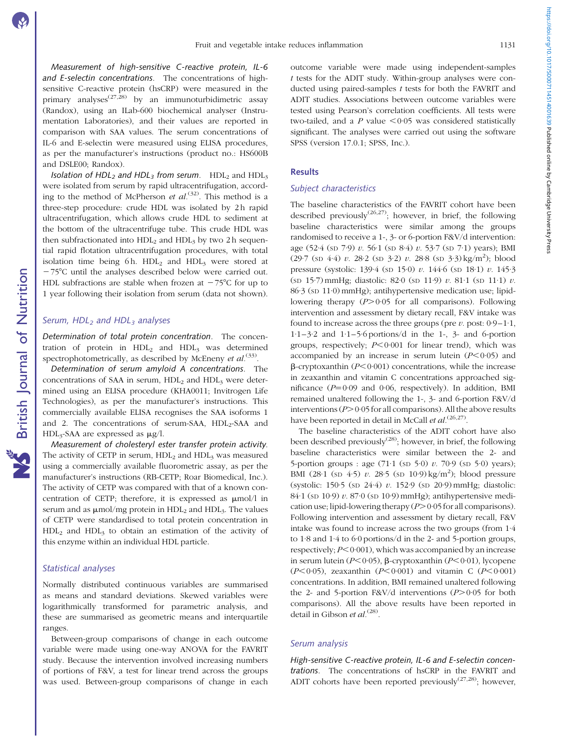Measurement of high-sensitive C-reactive protein, IL-6 and E-selectin concentrations. The concentrations of highsensitive C-reactive protein (hsCRP) were measured in the primary analyses<sup> $(27,28)$ </sup> by an immunoturbidimetric assay (Randox), using an ILab-600 biochemical analyser (Instrumentation Laboratories), and their values are reported in comparison with SAA values. The serum concentrations of IL-6 and E-selectin were measured using ELISA procedures, as per the manufacturer's instructions (product no.: HS600B and DSLE00; Randox).

Isolation of HDL<sub>2</sub> and HDL<sub>3</sub> from serum. HDL<sub>2</sub> and HDL<sub>3</sub> were isolated from serum by rapid ultracentrifugation, according to the method of McPherson et  $al^{(32)}$ . This method is a three-step procedure: crude HDL was isolated by 2 h rapid ultracentrifugation, which allows crude HDL to sediment at the bottom of the ultracentrifuge tube. This crude HDL was then subfractionated into  $HDL<sub>2</sub>$  and  $HDL<sub>3</sub>$  by two 2 h sequential rapid flotation ultracentrifugation procedures, with total isolation time being  $6 h$ . HDL<sub>2</sub> and HDL<sub>3</sub> were stored at  $-75^{\circ}$ C until the analyses described below were carried out. HDL subfractions are stable when frozen at  $-75^{\circ}$ C for up to 1 year following their isolation from serum (data not shown).

#### Serum,  $HDL<sub>2</sub>$  and  $HDL<sub>3</sub>$  analyses

Determination of total protein concentration. The concentration of protein in  $HDL<sub>2</sub>$  and  $HDL<sub>3</sub>$  was determined spectrophotometrically, as described by McEneny *et al.*<sup>(33)</sup>.

Determination of serum amyloid A concentrations. The concentrations of SAA in serum,  $HDL<sub>2</sub>$  and  $HDL<sub>3</sub>$  were determined using an ELISA procedure (KHA0011; Invitrogen Life Technologies), as per the manufacturer's instructions. This commercially available ELISA recognises the SAA isoforms 1 and 2. The concentrations of serum-SAA, HDL<sub>2</sub>-SAA and  $HDL<sub>3</sub>-SAA$  are expressed as  $\mu$ g/l.

Measurement of cholesteryl ester transfer protein activity. The activity of CETP in serum,  $HDL<sub>2</sub>$  and  $HDL<sub>3</sub>$  was measured using a commercially available fluorometric assay, as per the manufacturer's instructions (RB-CETP; Roar Biomedical, Inc.). The activity of CETP was compared with that of a known concentration of CETP; therefore, it is expressed as  $\mu$ mol/l in serum and as  $\mu$ mol/mg protein in HDL<sub>2</sub> and HDL<sub>3</sub>. The values of CETP were standardised to total protein concentration in  $HDL<sub>2</sub>$  and  $HDL<sub>3</sub>$  to obtain an estimation of the activity of this enzyme within an individual HDL particle.

# Statistical analyses

Normally distributed continuous variables are summarised as means and standard deviations. Skewed variables were logarithmically transformed for parametric analysis, and these are summarised as geometric means and interquartile ranges.

Between-group comparisons of change in each outcome variable were made using one-way ANOVA for the FAVRIT study. Because the intervention involved increasing numbers of portions of F&V, a test for linear trend across the groups was used. Between-group comparisons of change in each outcome variable were made using independent-samples t tests for the ADIT study. Within-group analyses were conducted using paired-samples t tests for both the FAVRIT and ADIT studies. Associations between outcome variables were tested using Pearson's correlation coefficients. All tests were two-tailed, and a P value  $<0.05$  was considered statistically significant. The analyses were carried out using the software SPSS (version 17.0.1; SPSS, Inc.).

### Results

#### Subject characteristics

The baseline characteristics of the FAVRIT cohort have been described previously<sup>(26,27)</sup>; however, in brief, the following baseline characteristics were similar among the groups randomised to receive a 1-, 3- or 6-portion F&V/d intervention: age (52·4 (SD 7·9) v. 56·1 (SD 8·4) v. 53·7 (SD 7·1) years); BMI  $(29.7 \text{ (SD 4.4)} \ v. 28.2 \text{ (SD 3.2)} \ v. 28.8 \text{ (SD 3.3)} \text{kg/m}^2)$ ; blood pressure (systolic: 139·4 (SD 15·0) v. 144·6 (SD 18·1) v. 145·3 (SD 15·7) mmHg; diastolic: 82·0 (SD 11·9) v. 81·1 (SD 11·1) v. 86·3 (SD 11·0) mmHg); antihypertensive medication use; lipidlowering therapy  $(P>0.05$  for all comparisons). Following intervention and assessment by dietary recall, F&V intake was found to increase across the three groups (pre  $\nu$ , post:  $0.9-1.1$ , 1·1–3·2 and 1·1–5·6 portions/d in the 1-, 3- and 6-portion groups, respectively;  $P<0.001$  for linear trend), which was accompanied by an increase in serum lutein  $(P<0.05)$  and  $\beta$ -cryptoxanthin ( $P \le 0.001$ ) concentrations, while the increase in zeaxanthin and vitamin C concentrations approached significance  $(P=0.09$  and 0.06, respectively). In addition, BMI remained unaltered following the 1-, 3- and 6-portion F&V/d interventions ( $P$ > 0·05 for all comparisons). All the above results have been reported in detail in McCall *et al.*<sup>(26,27)</sup>.

The baseline characteristics of the ADIT cohort have also been described previously<sup> $(28)$ </sup>; however, in brief, the following baseline characteristics were similar between the 2- and 5-portion groups : age  $(71.1 \text{ (s}D 5.0) v. 70.9 \text{ (s}D 5.0) \text{ years})$ ; BMI (28.1 (sp 4.5) v. 28.5 (sp 10.9) kg/m<sup>2</sup>); blood pressure (systolic: 150·5 (SD 24·4) v. 152·9 (SD 20·9) mmHg; diastolic:  $84.1$  (sp 10.9) v.  $87.0$  (sp 10.9) mmHg); antihypertensive medication use; lipid-lowering therapy  $(P>0.05$  for all comparisons). Following intervention and assessment by dietary recall, F&V intake was found to increase across the two groups (from 1·4 to 1·8 and 1·4 to 6·0 portions/d in the 2- and 5-portion groups, respectively;  $P < 0.001$ ), which was accompanied by an increase in serum lutein ( $P < 0.05$ ),  $\beta$ -cryptoxanthin ( $P < 0.01$ ), lycopene  $(P<0.05)$ , zeaxanthin  $(P<0.001)$  and vitamin C  $(P<0.001)$ concentrations. In addition, BMI remained unaltered following the 2- and 5-portion F&V/d interventions  $(P>0.05$  for both comparisons). All the above results have been reported in detail in Gibson et al.<sup>(28)</sup>.

#### Serum analysis

High-sensitive C-reactive protein, IL-6 and E-selectin concentrations. The concentrations of hsCRP in the FAVRIT and ADIT cohorts have been reported previously<sup>(27,28)</sup>; however,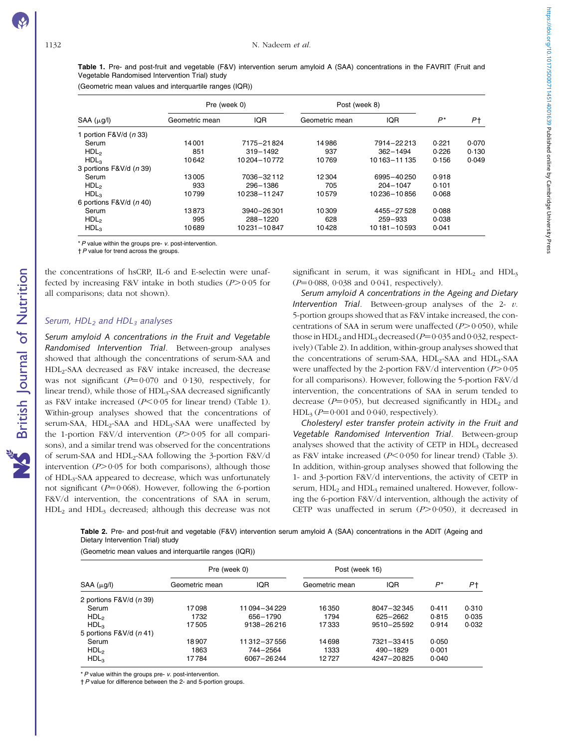British Journal of Nutrition

NS British Journal of Nutrition

Table 1. Pre- and post-fruit and vegetable (F&V) intervention serum amyloid A (SAA) concentrations in the FAVRIT (Fruit and Vegetable Randomised Intervention Trial) study

(Geometric mean values and interquartile ranges (IQR))

|                                   | Pre (week 0)   |              | Post (week 8)  |              |       |       |
|-----------------------------------|----------------|--------------|----------------|--------------|-------|-------|
| $SAA(\mu g/l)$                    | Geometric mean | <b>IQR</b>   | Geometric mean | <b>IQR</b>   | P*    | P†    |
| 1 portion $F&V/d$ ( <i>n</i> 33)  |                |              |                |              |       |       |
| Serum                             | 14001          | 7175-21824   | 14986          | 7914-22213   | 0.221 | 0.070 |
| HDL <sub>2</sub>                  | 851            | $319 - 1492$ | 937            | $362 - 1494$ | 0.226 | 0.130 |
| HDL <sub>3</sub>                  | 10642          | 10204-10772  | 10769          | 10163-11135  | 0.156 | 0.049 |
| 3 portions F&V/d (n 39)           |                |              |                |              |       |       |
| Serum                             | 13005          | 7036-32112   | 12304          | 6995-40250   | 0.918 |       |
| HDL <sub>2</sub>                  | 933            | 296-1386     | 705            | $204 - 1047$ | 0.101 |       |
| HDL <sub>3</sub>                  | 10799          | 10238-11247  | 10579          | 10236-10856  | 0.068 |       |
| 6 portions $F&V/d$ ( <i>n</i> 40) |                |              |                |              |       |       |
| Serum                             | 13873          | 3940-26301   | 10309          | 4455-27528   | 0.088 |       |
| HDL <sub>2</sub>                  | 995            | 288-1220     | 628            | $259 - 933$  | 0.038 |       |
| $HDL_3$                           | 10689          | 10231-10847  | 10428          | 10181-10593  | 0.041 |       |

 $*$  P value within the groups pre-  $v$ . post-intervention.

 $\uparrow$  P value for trend across the groups.

the concentrations of hsCRP, IL-6 and E-selectin were unaffected by increasing F&V intake in both studies  $(P>0.05$  for all comparisons; data not shown).

#### Serum,  $HDL<sub>2</sub>$  and  $HDL<sub>3</sub>$  analyses

Serum amyloid A concentrations in the Fruit and Vegetable Randomised Intervention Trial. Between-group analyses showed that although the concentrations of serum-SAA and HDL2-SAA decreased as F&V intake increased, the decrease was not significant  $(P=0.070$  and 0.130, respectively, for linear trend), while those of HDL3-SAA decreased significantly as F&V intake increased ( $P$ <0·05 for linear trend) (Table 1). Within-group analyses showed that the concentrations of serum-SAA,  $HDL<sub>2</sub>-SAA$  and  $HDL<sub>3</sub>-SAA$  were unaffected by the 1-portion F&V/d intervention  $(P>0.05$  for all comparisons), and a similar trend was observed for the concentrations of serum-SAA and HDL<sub>2</sub>-SAA following the 3-portion F&V/d intervention  $(P>0.05$  for both comparisons), although those of HDL<sub>3</sub>-SAA appeared to decrease, which was unfortunately not significant ( $P=0.068$ ). However, following the 6-portion F&V/d intervention, the concentrations of SAA in serum, HDL2 and HDL3 decreased; although this decrease was not

significant in serum, it was significant in  $HDL<sub>2</sub>$  and  $HDL<sub>3</sub>$  $(P=0.088, 0.038,$  and 0.041, respectively).

Serum amyloid A concentrations in the Ageing and Dietary Intervention Trial. Between-group analyses of the 2-  $v$ . 5-portion groups showed that as F&V intake increased, the concentrations of SAA in serum were unaffected  $(P>0.050)$ , while those in  $HDL<sub>2</sub>$  and  $HDL<sub>3</sub>$  decreased ( $P=0.035$  and 0.032, respectively) (Table 2). In addition, within-group analyses showed that the concentrations of serum-SAA, HDL<sub>2</sub>-SAA and HDL<sub>3</sub>-SAA were unaffected by the 2-portion F&V/d intervention  $(P>0.05$ for all comparisons). However, following the 5-portion F&V/d intervention, the concentrations of SAA in serum tended to decrease ( $P=0.05$ ), but decreased significantly in HDL<sub>2</sub> and HDL<sub>3</sub> ( $P=0.001$  and 0.040, respectively).

Cholesteryl ester transfer protein activity in the Fruit and Vegetable Randomised Intervention Trial. Between-group analyses showed that the activity of CETP in  $HDL<sub>3</sub>$  decreased as F&V intake increased ( $P < 0.050$  for linear trend) ([Table 3](#page-4-0)). In addition, within-group analyses showed that following the 1- and 3-portion F&V/d interventions, the activity of CETP in serum, HDL<sub>2</sub> and HDL<sub>3</sub> remained unaltered. However, following the 6-portion F&V/d intervention, although the activity of CETP was unaffected in serum  $(P>0.050)$ , it decreased in

Table 2. Pre- and post-fruit and vegetable (F&V) intervention serum amyloid A (SAA) concentrations in the ADIT (Ageing and Dietary Intervention Trial) study

(Geometric mean values and interquartile ranges (IQR))

|                                   | Pre (week 0)   |             | Post (week 16) |                |       |       |
|-----------------------------------|----------------|-------------|----------------|----------------|-------|-------|
| $SAA(\mu g/l)$                    | Geometric mean | <b>IQR</b>  | Geometric mean | IQR            | $P^*$ | P+    |
| 2 portions $F&V/d$ ( <i>n</i> 39) |                |             |                |                |       |       |
| Serum                             | 17098          | 11094-34229 | 16350          | 8047-32345     | 0.411 | 0.310 |
| HDL <sub>2</sub>                  | 1732           | 656-1790    | 1794           | 625-2662       | 0.815 | 0.035 |
| HDL <sub>3</sub>                  | 17505          | 9138-26216  | 17333          | $9510 - 25592$ | 0.914 | 0.032 |
| 5 portions $F&V/d(n 41)$          |                |             |                |                |       |       |
| Serum                             | 18907          | 11312-37556 | 14698          | 7321-33415     | 0.050 |       |
| HDL <sub>2</sub>                  | 1863           | 744-2564    | 1333           | 490-1829       | 0.001 |       |
| $HDL_3$                           | 17 784         | 6067-26244  | 12727          | 4247-20825     | 0.040 |       |

 $*P$  value within the groups pre- v. post-intervention.

†P value for difference between the 2- and 5-portion groups.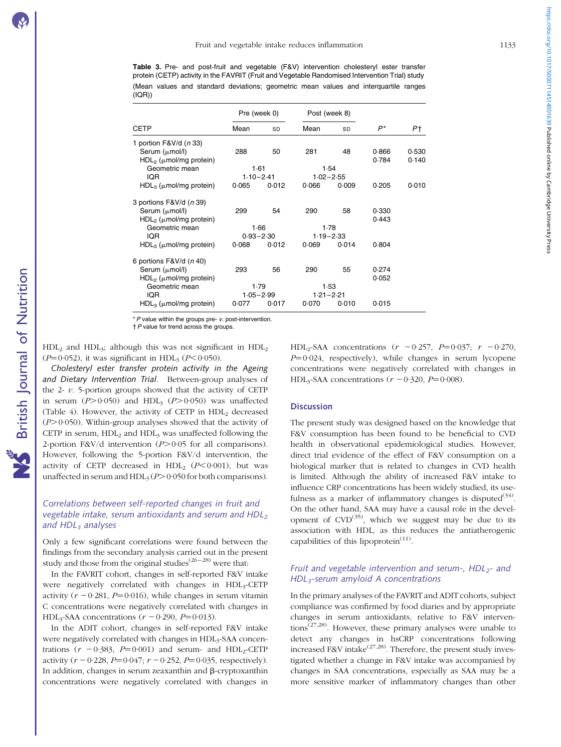<span id="page-4-0"></span>Table 3. Pre- and post-fruit and vegetable (F&V) intervention cholesteryl ester transfer protein (CETP) activity in the FAVRIT (Fruit and Vegetable Randomised Intervention Trial) study (Mean values and standard deviations; geometric mean values and interquartile ranges (IQR))

|                                  | Pre (week 0) |               | Post (week 8) |               |       |       |
|----------------------------------|--------------|---------------|---------------|---------------|-------|-------|
| <b>CETP</b>                      | Mean         | SD            | Mean          | SD            | P*    | Pt.   |
| 1 portion $F&V/d$ ( <i>n</i> 33) |              |               |               |               |       |       |
| Serum $(\mu$ mol/l)              | 288          | 50            | 281           | 48            | 0.866 | 0.530 |
| $HDL2$ ( $\mu$ mol/mg protein)   |              |               |               |               | 0.784 | 0.140 |
| Geometric mean                   |              | 1.61          |               | 1.54          |       |       |
| IQR.                             |              | $1.10 - 2.41$ |               | $1.02 - 2.55$ |       |       |
| $HDL3$ ( $\mu$ mol/mg protein)   | 0.065        | 0.012         | 0.066         | 0.009         | 0.205 | 0.010 |
| 3 portions F&V/d (n 39)          |              |               |               |               |       |       |
| Serum ( $\mu$ mol/l)             | 299          | 54            | 290           | 58            | 0.330 |       |
| $HDL2$ ( $\mu$ mol/mg protein)   |              |               |               |               | 0.443 |       |
| Geometric mean                   | 1.66         |               |               | 1.78          |       |       |
| IQR.                             |              | $0.93 - 2.30$ |               | $1.19 - 2.33$ |       |       |
| $HDL3$ ( $\mu$ mol/mg protein)   | 0.068        | 0.012         | 0.069         | 0.014         | 0.804 |       |
| 6 portions $F&V/d (n 40)$        |              |               |               |               |       |       |
| Serum ( $\mu$ mol/l)             | 293          | 56            | 290           | 55            | 0.274 |       |
| $HDL2$ ( $\mu$ mol/mg protein)   |              |               |               |               | 0.052 |       |
| Geometric mean                   | 1.79         |               |               | 1.53          |       |       |
| IQR.                             |              | $1.05 - 2.99$ |               | $1.21 - 2.21$ |       |       |
| $HDL3$ ( $\mu$ mol/mg protein)   | 0.077        | 0.017         | 0.070         | 0.010         | 0.015 |       |

\* P value within the groups pre- v. post-intervention.

†P value for trend across the groups.

 $HDL<sub>2</sub>$  and  $HDL<sub>3</sub>$ ; although this was not significant in  $HDL<sub>2</sub>$  $(P=0.052)$ , it was significant in HDL<sub>3</sub> ( $P<0.050$ ).

Cholesteryl ester transfer protein activity in the Ageing and Dietary Intervention Trial. Between-group analyses of the 2-  $v$ . 5-portion groups showed that the activity of CETP in serum  $(P>0.050)$  and HDL<sub>3</sub>  $(P>0.050)$  was unaffected ([Table 4\)](#page-5-0). However, the activity of CETP in  $HDL<sub>2</sub>$  decreased  $(P>0.050)$ . Within-group analyses showed that the activity of CETP in serum,  $HDL<sub>2</sub>$  and  $HDL<sub>3</sub>$  was unaffected following the 2-portion F&V/d intervention  $(P>0.05$  for all comparisons). However, following the 5-portion F&V/d intervention, the activity of CETP decreased in HDL<sub>2</sub>  $(P<0.001)$ , but was unaffected in serum and  $HDL<sub>3</sub>(P>0.050$  for both comparisons).

# Correlations between self-reported changes in fruit and vegetable intake, serum antioxidants and serum and  $HDL<sub>2</sub>$ and  $HDL<sub>3</sub>$  analyses

Only a few significant correlations were found between the findings from the secondary analysis carried out in the present study and those from the original studies<sup>(26–28)</sup> were that:

In the FAVRIT cohort, changes in self-reported F&V intake were negatively correlated with changes in HDL3-CETP activity  $(r - 0.281, P = 0.016)$ , while changes in serum vitamin C concentrations were negatively correlated with changes in HDL<sub>3</sub>-SAA concentrations  $(r - 0.290, P = 0.013)$ .

In the ADIT cohort, changes in self-reported F&V intake were negatively correlated with changes in HDL<sub>3</sub>-SAA concentrations  $(r - 0.383, P=0.001)$  and serum- and HDL<sub>2</sub>-CETP activity  $(r - 0.228, P = 0.047; r - 0.252, P = 0.035$ , respectively). In addition, changes in serum zeaxanthin and  $\beta$ -cryptoxanthin concentrations were negatively correlated with changes in HDL<sub>2</sub>-SAA concentrations  $(r - 0.257, P=0.037; r - 0.270,$  $P=0.024$ , respectively), while changes in serum lycopene concentrations were negatively correlated with changes in HDL<sub>3</sub>-SAA concentrations  $(r - 0.320, P = 0.008)$ .

### **Discussion**

The present study was designed based on the knowledge that F&V consumption has been found to be beneficial to CVD health in observational epidemiological studies. However, direct trial evidence of the effect of F&V consumption on a biological marker that is related to changes in CVD health is limited. Although the ability of increased F&V intake to influence CRP concentrations has been widely studied, its usefulness as a marker of inflammatory changes is disputed<sup>(34)</sup>. On the other hand, SAA may have a causal role in the development of  $CVD^{(35)}$ , which we suggest may be due to its association with HDL, as this reduces the antiatherogenic capabilities of this lipoprotein $(11)$ .

# Fruit and vegetable intervention and serum-,  $HDL<sub>2</sub>$ - and HDL3-serum amyloid A concentrations

In the primary analyses of the FAVRIT and ADIT cohorts, subject compliance was confirmed by food diaries and by appropriate changes in serum antioxidants, relative to F&V interventions<sup> $(27,28)$ </sup>. However, these primary analyses were unable to detect any changes in hsCRP concentrations following increased F&V intake<sup> $(27,28)$ </sup>. Therefore, the present study investigated whether a change in F&V intake was accompanied by changes in SAA concentrations, especially as SAA may be a more sensitive marker of inflammatory changes than other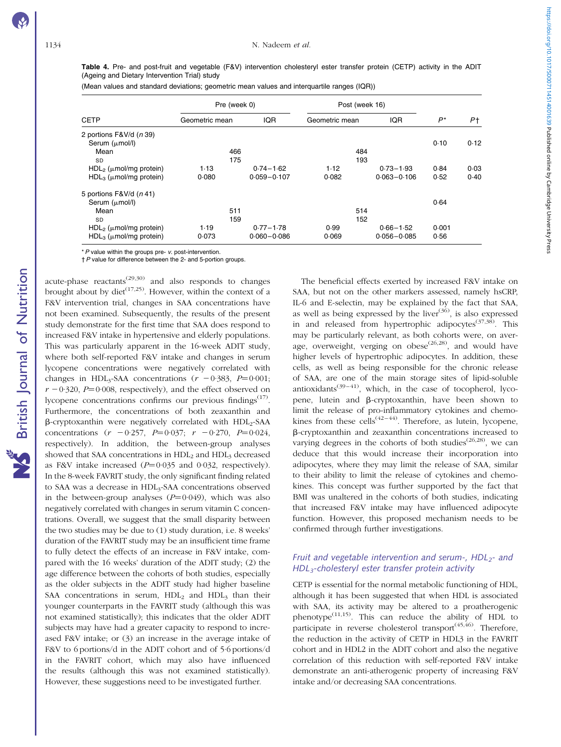British Journal of Nutrition

**NS** British Journal of Nutrition

<span id="page-5-0"></span>Table 4. Pre- and post-fruit and vegetable (F&V) intervention cholesteryl ester transfer protein (CETP) activity in the ADIT (Ageing and Dietary Intervention Trial) study

|  |  |  | (Mean values and standard deviations; geometric mean values and interquartile ranges (IQR)) |  |
|--|--|--|---------------------------------------------------------------------------------------------|--|
|  |  |  |                                                                                             |  |

|                                                               | Pre (week 0)   | Post (week 16)  |                |     |                 |       |      |
|---------------------------------------------------------------|----------------|-----------------|----------------|-----|-----------------|-------|------|
| <b>CETP</b>                                                   | Geometric mean | <b>IQR</b>      | Geometric mean |     | <b>IQR</b>      | $P^*$ | P†   |
| 2 portions F&V/d (n 39)<br>Serum $(\mu \text{mol/l})$<br>Mean | 466            |                 |                | 484 |                 | 0.10  | 0.12 |
| SD                                                            | 175            |                 |                | 193 |                 |       |      |
| $HDL2$ ( $\mu$ mol/mg protein)                                | 1.13           | $0.74 - 1.62$   | 1.12           |     | $0.73 - 1.93$   | 0.84  | 0.03 |
| $HDL3$ ( $\mu$ mol/mg protein)                                | 0.080          | $0.059 - 0.107$ | 0.082          |     | $0.063 - 0.106$ | 0.52  | 0.40 |
| 5 portions $F&V/d(n 41)$                                      |                |                 |                |     |                 |       |      |
| Serum $(\mu$ mol/l)                                           |                |                 |                |     |                 | 0.64  |      |
| Mean                                                          | 511            |                 |                | 514 |                 |       |      |
| <b>SD</b>                                                     | 159            |                 |                | 152 |                 |       |      |
| $HDL2$ ( $\mu$ mol/mg protein)                                | 1.19           | $0.77 - 1.78$   | 0.99           |     | $0.66 - 1.52$   | 0.001 |      |
| $HDL3$ ( $\mu$ mol/mg protein)                                | 0.073          | $0.060 - 0.086$ | 0.069          |     | $0.056 - 0.085$ | 0.56  |      |

 $*$  P value within the groups pre-  $v$ . post-intervention.

†P value for difference between the 2- and 5-portion groups.

acute-phase reactants<sup> $(29,30)$ </sup> and also responds to changes brought about by diet<sup> $(17,25)$ </sup>. However, within the context of a F&V intervention trial, changes in SAA concentrations have not been examined. Subsequently, the results of the present study demonstrate for the first time that SAA does respond to increased F&V intake in hypertensive and elderly populations. This was particularly apparent in the 16-week ADIT study, where both self-reported F&V intake and changes in serum lycopene concentrations were negatively correlated with changes in HDL<sub>3</sub>-SAA concentrations ( $r = 0.383$ ,  $P = 0.001$ ;  $r - 0.320$ ,  $P = 0.008$ , respectively), and the effect observed on lycopene concentrations confirms our previous findings<sup> $(17)$ </sup>. Furthermore, the concentrations of both zeaxanthin and  $\beta$ -cryptoxanthin were negatively correlated with HDL<sub>2</sub>-SAA concentrations  $(r - 0.257, P=0.037; r - 0.270, P=0.024,$ respectively). In addition, the between-group analyses showed that SAA concentrations in  $HDL<sub>2</sub>$  and  $HDL<sub>3</sub>$  decreased as F&V intake increased  $(P=0.035$  and 0.032, respectively). In the 8-week FAVRIT study, the only significant finding related to SAA was a decrease in HDL<sub>3</sub>-SAA concentrations observed in the between-group analyses  $(P=0.049)$ , which was also negatively correlated with changes in serum vitamin C concentrations. Overall, we suggest that the small disparity between the two studies may be due to (1) study duration, i.e. 8 weeks' duration of the FAVRIT study may be an insufficient time frame to fully detect the effects of an increase in F&V intake, compared with the 16 weeks' duration of the ADIT study; (2) the age difference between the cohorts of both studies, especially as the older subjects in the ADIT study had higher baseline SAA concentrations in serum,  $HDL<sub>2</sub>$  and  $HDL<sub>3</sub>$  than their younger counterparts in the FAVRIT study (although this was not examined statistically); this indicates that the older ADIT subjects may have had a greater capacity to respond to increased F&V intake; or (3) an increase in the average intake of F&V to 6 portions/d in the ADIT cohort and of 5·6 portions/d in the FAVRIT cohort, which may also have influenced the results (although this was not examined statistically). However, these suggestions need to be investigated further.

The beneficial effects exerted by increased F&V intake on SAA, but not on the other markers assessed, namely hsCRP, IL-6 and E-selectin, may be explained by the fact that SAA, as well as being expressed by the liver $(36)$ , is also expressed in and released from hypertrophic adipocytes<sup> $(37,38)$ </sup>. This may be particularly relevant, as both cohorts were, on average, overweight, verging on obese<sup> $(26,28)$ </sup>, and would have higher levels of hypertrophic adipocytes. In addition, these cells, as well as being responsible for the chronic release of SAA, are one of the main storage sites of lipid-soluble antioxidants<sup>(39–41)</sup>, which, in the case of tocopherol, lycopene, lutein and  $\beta$ -cryptoxanthin, have been shown to limit the release of pro-inflammatory cytokines and chemokines from these cells<sup> $(42-44)$ </sup>. Therefore, as lutein, lycopene, b-cryptoxanthin and zeaxanthin concentrations increased to varying degrees in the cohorts of both studies<sup> $(26,28)$ </sup>, we can deduce that this would increase their incorporation into adipocytes, where they may limit the release of SAA, similar to their ability to limit the release of cytokines and chemokines. This concept was further supported by the fact that BMI was unaltered in the cohorts of both studies, indicating that increased F&V intake may have influenced adipocyte function. However, this proposed mechanism needs to be confirmed through further investigations.

# Fruit and vegetable intervention and serum-,  $HDL<sub>2</sub>$ - and HDL3-cholesteryl ester transfer protein activity

CETP is essential for the normal metabolic functioning of HDL, although it has been suggested that when HDL is associated with SAA, its activity may be altered to a proatherogenic phenotype<sup> $(11,15)$ </sup>. This can reduce the ability of HDL to participate in reverse cholesterol transport<sup> $(45,46)$ </sup>. Therefore, the reduction in the activity of CETP in HDL3 in the FAVRIT cohort and in HDL2 in the ADIT cohort and also the negative correlation of this reduction with self-reported F&V intake demonstrate an anti-atherogenic property of increasing F&V intake and/or decreasing SAA concentrations.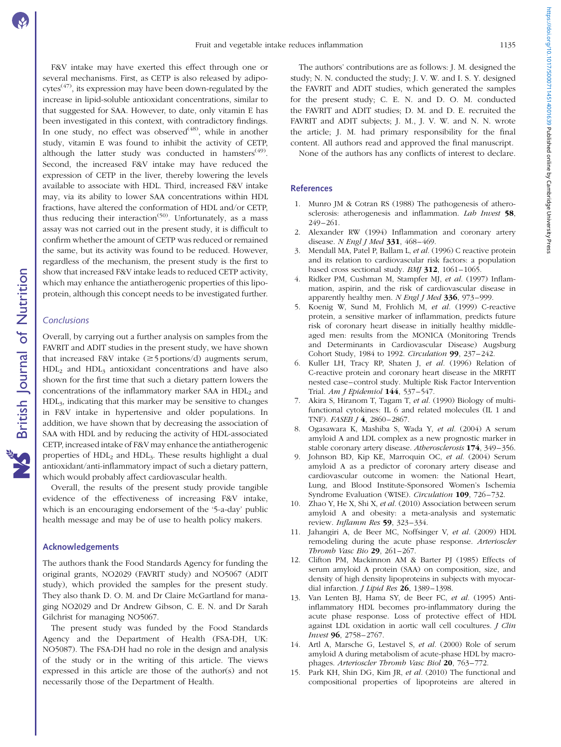F&V intake may have exerted this effect through one or several mechanisms. First, as CETP is also released by adipo- $\text{cvtes}^{(47)}$ , its expression may have been down-regulated by the increase in lipid-soluble antioxidant concentrations, similar to that suggested for SAA. However, to date, only vitamin E has been investigated in this context, with contradictory findings. In one study, no effect was observed<sup> $(48)$ </sup>, while in another study, vitamin E was found to inhibit the activity of CETP, although the latter study was conducted in hamsters<sup> $(49)$ </sup>. Second, the increased F&V intake may have reduced the expression of CETP in the liver, thereby lowering the levels available to associate with HDL. Third, increased F&V intake may, via its ability to lower SAA concentrations within HDL fractions, have altered the conformation of HDL and/or CETP, thus reducing their interaction<sup> $(50)$ </sup>. Unfortunately, as a mass assay was not carried out in the present study, it is difficult to confirm whether the amount of CETP was reduced or remained the same, but its activity was found to be reduced. However, regardless of the mechanism, the present study is the first to show that increased F&V intake leads to reduced CETP activity, which may enhance the antiatherogenic properties of this lipoprotein, although this concept needs to be investigated further.

## Conclusions

Overall, by carrying out a further analysis on samples from the FAVRIT and ADIT studies in the present study, we have shown that increased F&V intake  $(\geq 5$  portions/d) augments serum,  $HDL<sub>2</sub>$  and  $HDL<sub>3</sub>$  antioxidant concentrations and have also shown for the first time that such a dietary pattern lowers the concentrations of the inflammatory marker SAA in HDL<sub>2</sub> and HDL3, indicating that this marker may be sensitive to changes in F&V intake in hypertensive and older populations. In addition, we have shown that by decreasing the association of SAA with HDL and by reducing the activity of HDL-associated CETP, increased intake of F&V may enhance the antiatherogenic properties of HDL<sub>2</sub> and HDL<sub>3</sub>. These results highlight a dual antioxidant/anti-inflammatory impact of such a dietary pattern, which would probably affect cardiovascular health.

Overall, the results of the present study provide tangible evidence of the effectiveness of increasing F&V intake, which is an encouraging endorsement of the '5-a-day' public health message and may be of use to health policy makers.

# Acknowledgements

The authors thank the Food Standards Agency for funding the original grants, NO2029 (FAVRIT study) and NO5067 (ADIT study), which provided the samples for the present study. They also thank D. O. M. and Dr Claire McGartland for managing NO2029 and Dr Andrew Gibson, C. E. N. and Dr Sarah Gilchrist for managing NO5067.

The present study was funded by the Food Standards Agency and the Department of Health (FSA-DH, UK: NO5087). The FSA-DH had no role in the design and analysis of the study or in the writing of this article. The views expressed in this article are those of the author(s) and not necessarily those of the Department of Health.

The authors' contributions are as follows: J. M. designed the study; N. N. conducted the study; J. V. W. and I. S. Y. designed the FAVRIT and ADIT studies, which generated the samples for the present study; C. E. N. and D. O. M. conducted the FAVRIT and ADIT studies; D. M. and D. E. recruited the FAVRIT and ADIT subjects; J. M., J. V. W. and N. N. wrote the article; J. M. had primary responsibility for the final content. All authors read and approved the final manuscript.

None of the authors has any conflicts of interest to declare.

# References

- 1. Munro JM & Cotran RS (1988) The pathogenesis of atherosclerosis: atherogenesis and inflammation. Lab Invest 58, 249–261.
- 2. Alexander RW (1994) Inflammation and coronary artery disease. N Engl J Med 331, 468-469.
- 3. Mendall MA, Patel P, Ballam L, et al. (1996) C reactive protein and its relation to cardiovascular risk factors: a population based cross sectional study. BMJ 312, 1061-1065.
- 4. Ridker PM, Cushman M, Stampfer MJ, et al. (1997) Inflammation, aspirin, and the risk of cardiovascular disease in apparently healthy men. N Engl J Med  $336$ , 973-999.
- 5. Koenig W, Sund M, Frohlich M, et al. (1999) C-reactive protein, a sensitive marker of inflammation, predicts future risk of coronary heart disease in initially healthy middleaged men: results from the MONICA (Monitoring Trends and Determinants in Cardiovascular Disease) Augsburg Cohort Study, 1984 to 1992. Circulation 99, 237–242.
- 6. Kuller LH, Tracy RP, Shaten J, et al. (1996) Relation of C-reactive protein and coronary heart disease in the MRFIT nested case–control study. Multiple Risk Factor Intervention Trial. Am J Epidemiol 144, 537–547.
- 7. Akira S, Hiranom T, Tagam T, et al. (1990) Biology of multifunctional cytokines: IL 6 and related molecules (IL 1 and TNF). FASEB J 4, 2860–2867.
- 8. Ogasawara K, Mashiba S, Wada Y, et al. (2004) A serum amyloid A and LDL complex as a new prognostic marker in stable coronary artery disease. Atherosclerosis 174, 349-356.
- 9. Johnson BD, Kip KE, Marroquin OC, et al. (2004) Serum amyloid A as a predictor of coronary artery disease and cardiovascular outcome in women: the National Heart, Lung, and Blood Institute-Sponsored Women's Ischemia Syndrome Evaluation (WISE). Circulation 109, 726-732.
- 10. Zhao Y, He X, Shi X, et al. (2010) Association between serum amyloid A and obesity: a meta-analysis and systematic review. Inflamm Res 59, 323–334.
- 11. Jahangiri A, de Beer MC, Noffsinger V, et al. (2009) HDL remodeling during the acute phase response. Arterioscler Thromb Vasc Bio 29, 261–267.
- 12. Clifton PM, Mackinnon AM & Barter PJ (1985) Effects of serum amyloid A protein (SAA) on composition, size, and density of high density lipoproteins in subjects with myocardial infarction. *J Lipid Res* 26, 1389-1398.
- 13. Van Lenten BJ, Hama SY, de Beer FC, et al. (1995) Antiinflammatory HDL becomes pro-inflammatory during the acute phase response. Loss of protective effect of HDL against LDL oxidation in aortic wall cell cocultures. J Clin Invest 96, 2758–2767.
- 14. Artl A, Marsche G, Lestavel S, et al. (2000) Role of serum amyloid A during metabolism of acute-phase HDL by macrophages. Arterioscler Thromb Vasc Biol 20, 763–772.
- 15. Park KH, Shin DG, Kim JR, et al. (2010) The functional and compositional properties of lipoproteins are altered in